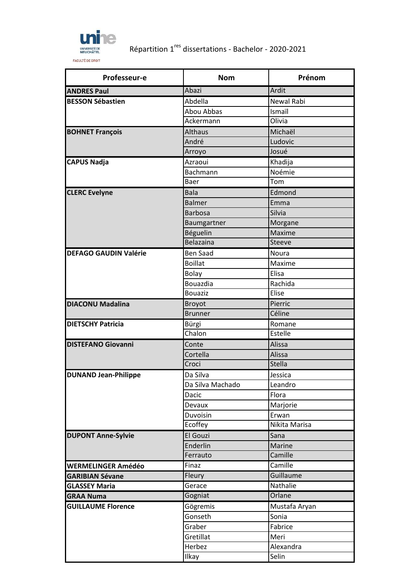

## Répartition 1res dissertations - Bachelor - 2020-2021

| Professeur-e                 | <b>Nom</b>       | Prénom        |
|------------------------------|------------------|---------------|
| <b>ANDRES Paul</b>           | Abazi            | Ardit         |
| <b>BESSON Sébastien</b>      | Abdella          | Newal Rabi    |
|                              | Abou Abbas       | Ismaïl        |
|                              | Ackermann        | Olivia        |
| <b>BOHNET François</b>       | <b>Althaus</b>   | Michaël       |
|                              | André            | Ludovic       |
|                              | Arroyo           | Josué         |
| <b>CAPUS Nadja</b>           | Azraoui          | Khadija       |
|                              | Bachmann         | Noémie        |
|                              | Baer             | Tom           |
| <b>CLERC Evelyne</b>         | <b>Bala</b>      | Edmond        |
|                              | <b>Balmer</b>    | Emma          |
|                              | <b>Barbosa</b>   | Silvia        |
|                              | Baumgartner      | Morgane       |
|                              | Béguelin         | Maxime        |
|                              | Belazaina        | Steeve        |
| <b>DEFAGO GAUDIN Valérie</b> | <b>Ben Saad</b>  | Noura         |
|                              | <b>Boillat</b>   | Maxime        |
|                              | <b>Bolay</b>     | Elisa         |
|                              | Bouazdia         | Rachida       |
|                              | <b>Bouaziz</b>   | Elise         |
| <b>DIACONU Madalina</b>      | <b>Broyot</b>    | Pierric       |
|                              | <b>Brunner</b>   | Céline        |
| <b>DIETSCHY Patricia</b>     | Bürgi            | Romane        |
|                              | Chalon           | Estelle       |
| <b>DISTEFANO Giovanni</b>    | Conte            | Alissa        |
|                              | Cortella         | Alissa        |
|                              | Croci            | <b>Stella</b> |
| <b>DUNAND Jean-Philippe</b>  | Da Silva         | Jessica       |
|                              | Da Silva Machado | Leandro       |
|                              | Dacic            | Flora         |
|                              | Devaux           | Marjorie      |
|                              | Duvoisin         | Erwan         |
|                              | Ecoffey          | Nikita Marisa |
| <b>DUPONT Anne-Sylvie</b>    | El Gouzi         | Sana          |
|                              | Enderlin         | Marine        |
|                              | Ferrauto         | Camille       |
| <b>WERMELINGER Amédéo</b>    | Finaz            | Camille       |
| <b>GARIBIAN Sévane</b>       | Fleury           | Guillaume     |
| <b>GLASSEY Maria</b>         | Gerace           | Nathalie      |
| <b>GRAA Numa</b>             | Gogniat          | Orlane        |
| <b>GUILLAUME Florence</b>    | Gögremis         | Mustafa Aryan |
|                              | Gonseth          | Sonia         |
|                              | Graber           | Fabrice       |
|                              | Gretillat        | Meri          |
|                              | Herbez           | Alexandra     |
|                              | Ilkay            | Selin         |